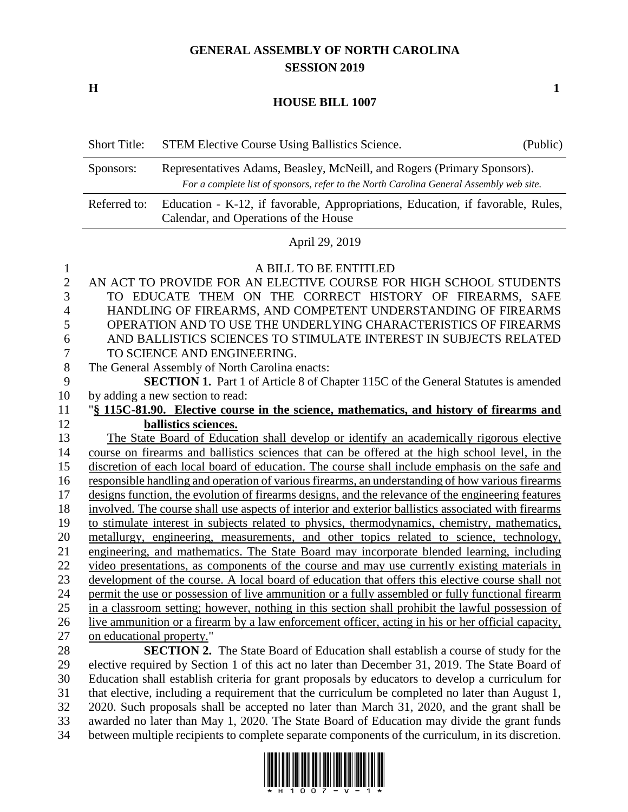## **GENERAL ASSEMBLY OF NORTH CAROLINA SESSION 2019**

**H 1**

## **HOUSE BILL 1007**

| <b>Short Title:</b> | <b>STEM Elective Course Using Ballistics Science.</b>                                                                                                              | (Public) |
|---------------------|--------------------------------------------------------------------------------------------------------------------------------------------------------------------|----------|
| Sponsors:           | Representatives Adams, Beasley, McNeill, and Rogers (Primary Sponsors).<br>For a complete list of sponsors, refer to the North Carolina General Assembly web site. |          |
| Referred to:        | Education - K-12, if favorable, Appropriations, Education, if favorable, Rules,<br>Calendar, and Operations of the House                                           |          |
|                     | $\lambda$ '1.00.0010                                                                                                                                               |          |

April 29, 2019

| 1              | A BILL TO BE ENTITLED                                                                               |
|----------------|-----------------------------------------------------------------------------------------------------|
| $\overline{2}$ | AN ACT TO PROVIDE FOR AN ELECTIVE COURSE FOR HIGH SCHOOL STUDENTS                                   |
| 3              | TO EDUCATE THEM ON THE CORRECT HISTORY OF FIREARMS, SAFE                                            |
| 4              | HANDLING OF FIREARMS, AND COMPETENT UNDERSTANDING OF FIREARMS                                       |
| 5              | OPERATION AND TO USE THE UNDERLYING CHARACTERISTICS OF FIREARMS                                     |
| 6              | AND BALLISTICS SCIENCES TO STIMULATE INTEREST IN SUBJECTS RELATED                                   |
| 7              | TO SCIENCE AND ENGINEERING.                                                                         |
| 8              | The General Assembly of North Carolina enacts:                                                      |
| 9              | <b>SECTION 1.</b> Part 1 of Article 8 of Chapter 115C of the General Statutes is amended            |
| 10             | by adding a new section to read:                                                                    |
| 11             | "§ 115C-81.90. Elective course in the science, mathematics, and history of firearms and             |
| 12             | ballistics sciences.                                                                                |
| 13             | The State Board of Education shall develop or identify an academically rigorous elective            |
| 14             | course on firearms and ballistics sciences that can be offered at the high school level, in the     |
| 15             | discretion of each local board of education. The course shall include emphasis on the safe and      |
| 16             | responsible handling and operation of various firearms, an understanding of how various firearms    |
| 17             | designs function, the evolution of firearms designs, and the relevance of the engineering features  |
| 18             | involved. The course shall use aspects of interior and exterior ballistics associated with firearms |
| 19             | to stimulate interest in subjects related to physics, thermodynamics, chemistry, mathematics,       |
| 20             | metallurgy, engineering, measurements, and other topics related to science, technology,             |
| 21             | engineering, and mathematics. The State Board may incorporate blended learning, including           |
| 22             | video presentations, as components of the course and may use currently existing materials in        |
| 23             | development of the course. A local board of education that offers this elective course shall not    |
| 24             | permit the use or possession of live ammunition or a fully assembled or fully functional firearm    |
| 25             | in a classroom setting; however, nothing in this section shall prohibit the lawful possession of    |
| 26             | live ammunition or a firearm by a law enforcement officer, acting in his or her official capacity,  |
| 27             | on educational property."                                                                           |
| 28             | <b>SECTION 2.</b> The State Board of Education shall establish a course of study for the            |

 elective required by Section 1 of this act no later than December 31, 2019. The State Board of Education shall establish criteria for grant proposals by educators to develop a curriculum for that elective, including a requirement that the curriculum be completed no later than August 1, 2020. Such proposals shall be accepted no later than March 31, 2020, and the grant shall be awarded no later than May 1, 2020. The State Board of Education may divide the grant funds between multiple recipients to complete separate components of the curriculum, in its discretion.